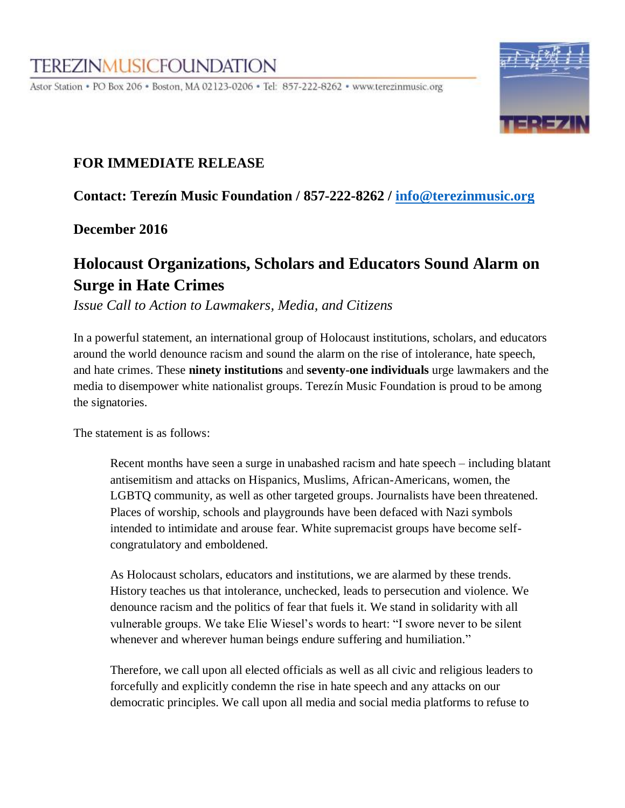# **TEREZINMUSICFOUNDATION**

Astor Station • PO Box 206 • Boston, MA 02123-0206 • Tel: 857-222-8262 • www.terezinmusic.org



### **FOR IMMEDIATE RELEASE**

**Contact: Terezín Music Foundation / 857-222-8262 / [info@terezinmusic.org](mailto:info@terezinmusic.org)**

**December 2016** 

## **Holocaust Organizations, Scholars and Educators Sound Alarm on Surge in Hate Crimes**

*Issue Call to Action to Lawmakers, Media, and Citizens* 

In a powerful statement, an international group of Holocaust institutions, scholars, and educators around the world denounce racism and sound the alarm on the rise of intolerance, hate speech, and hate crimes. These **ninety institutions** and **seventy-one individuals** urge lawmakers and the media to disempower white nationalist groups. Terezín Music Foundation is proud to be among the signatories.

The statement is as follows:

Recent months have seen a surge in unabashed racism and hate speech – including blatant antisemitism and attacks on Hispanics, Muslims, African-Americans, women, the LGBTQ community, as well as other targeted groups. Journalists have been threatened. Places of worship, schools and playgrounds have been defaced with Nazi symbols intended to intimidate and arouse fear. White supremacist groups have become selfcongratulatory and emboldened.

As Holocaust scholars, educators and institutions, we are alarmed by these trends. History teaches us that intolerance, unchecked, leads to persecution and violence. We denounce racism and the politics of fear that fuels it. We stand in solidarity with all vulnerable groups. We take Elie Wiesel's words to heart: "I swore never to be silent whenever and wherever human beings endure suffering and humiliation."

Therefore, we call upon all elected officials as well as all civic and religious leaders to forcefully and explicitly condemn the rise in hate speech and any attacks on our democratic principles. We call upon all media and social media platforms to refuse to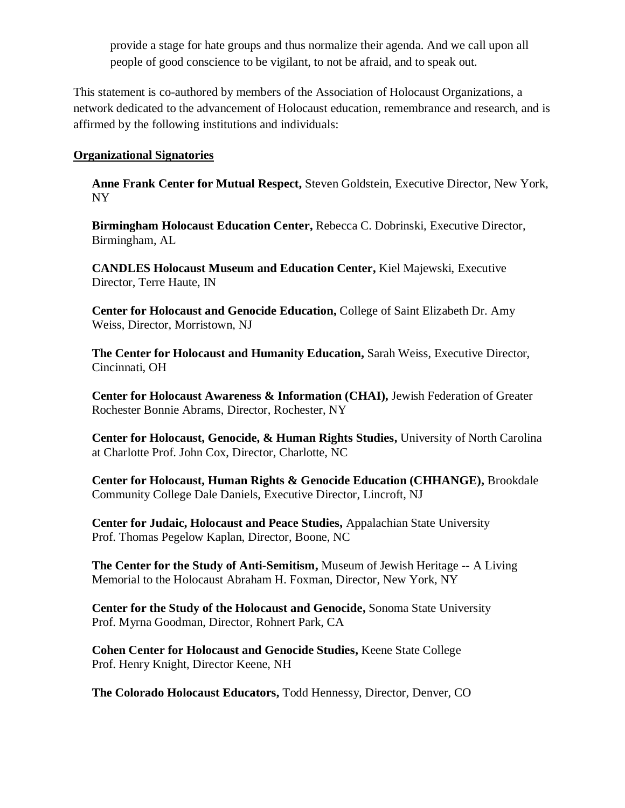provide a stage for hate groups and thus normalize their agenda. And we call upon all people of good conscience to be vigilant, to not be afraid, and to speak out.

This statement is co-authored by members of the Association of Holocaust Organizations, a network dedicated to the advancement of Holocaust education, remembrance and research, and is affirmed by the following institutions and individuals:

#### **Organizational Signatories**

**Anne Frank Center for Mutual Respect,** Steven Goldstein, Executive Director, New York, NY

**Birmingham Holocaust Education Center,** Rebecca C. Dobrinski, Executive Director, Birmingham, AL

**CANDLES Holocaust Museum and Education Center,** Kiel Majewski, Executive Director, Terre Haute, IN

**Center for Holocaust and Genocide Education,** College of Saint Elizabeth Dr. Amy Weiss, Director, Morristown, NJ

**The Center for Holocaust and Humanity Education,** Sarah Weiss, Executive Director, Cincinnati, OH

**Center for Holocaust Awareness & Information (CHAI),** Jewish Federation of Greater Rochester Bonnie Abrams, Director, Rochester, NY

**Center for Holocaust, Genocide, & Human Rights Studies,** University of North Carolina at Charlotte Prof. John Cox, Director, Charlotte, NC

**Center for Holocaust, Human Rights & Genocide Education (CHHANGE),** Brookdale Community College Dale Daniels, Executive Director, Lincroft, NJ

**Center for Judaic, Holocaust and Peace Studies,** Appalachian State University Prof. Thomas Pegelow Kaplan, Director, Boone, NC

**The Center for the Study of Anti-Semitism,** Museum of Jewish Heritage -- A Living Memorial to the Holocaust Abraham H. Foxman, Director, New York, NY

**Center for the Study of the Holocaust and Genocide,** Sonoma State University Prof. Myrna Goodman, Director, Rohnert Park, CA

**Cohen Center for Holocaust and Genocide Studies,** Keene State College Prof. Henry Knight, Director Keene, NH

**The Colorado Holocaust Educators,** Todd Hennessy, Director, Denver, CO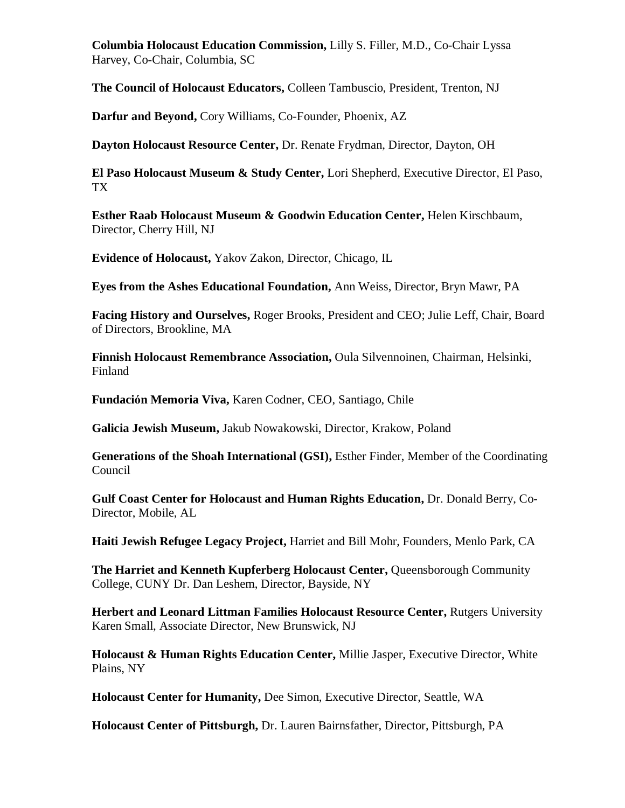**Columbia Holocaust Education Commission,** Lilly S. Filler, M.D., Co-Chair Lyssa Harvey, Co-Chair, Columbia, SC

**The Council of Holocaust Educators,** Colleen Tambuscio, President, Trenton, NJ

**Darfur and Beyond,** Cory Williams, Co-Founder, Phoenix, AZ

**Dayton Holocaust Resource Center,** Dr. Renate Frydman, Director, Dayton, OH

**El Paso Holocaust Museum & Study Center,** Lori Shepherd, Executive Director, El Paso, TX

**Esther Raab Holocaust Museum & Goodwin Education Center,** Helen Kirschbaum, Director, Cherry Hill, NJ

**Evidence of Holocaust,** Yakov Zakon, Director, Chicago, IL

**Eyes from the Ashes Educational Foundation,** Ann Weiss, Director, Bryn Mawr, PA

**Facing History and Ourselves,** Roger Brooks, President and CEO; Julie Leff, Chair, Board of Directors, Brookline, MA

**Finnish Holocaust Remembrance Association,** Oula Silvennoinen, Chairman, Helsinki, Finland

**Fundación Memoria Viva,** Karen Codner, CEO, Santiago, Chile

**Galicia Jewish Museum,** Jakub Nowakowski, Director, Krakow, Poland

**Generations of the Shoah International (GSI),** Esther Finder, Member of the Coordinating Council

**Gulf Coast Center for Holocaust and Human Rights Education,** Dr. Donald Berry, Co-Director, Mobile, AL

**Haiti Jewish Refugee Legacy Project,** Harriet and Bill Mohr, Founders, Menlo Park, CA

**The Harriet and Kenneth Kupferberg Holocaust Center, Queensborough Community** College, CUNY Dr. Dan Leshem, Director, Bayside, NY

**Herbert and Leonard Littman Families Holocaust Resource Center,** Rutgers University Karen Small, Associate Director, New Brunswick, NJ

**Holocaust & Human Rights Education Center,** Millie Jasper, Executive Director, White Plains, NY

**Holocaust Center for Humanity,** Dee Simon, Executive Director, Seattle, WA

**Holocaust Center of Pittsburgh,** Dr. Lauren Bairnsfather, Director, Pittsburgh, PA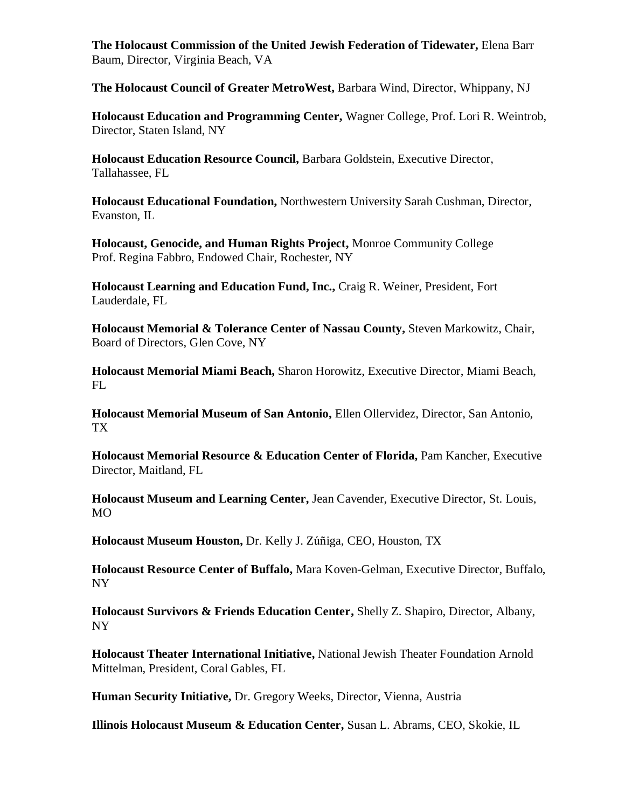**The Holocaust Commission of the United Jewish Federation of Tidewater,** Elena Barr Baum, Director, Virginia Beach, VA

**The Holocaust Council of Greater MetroWest,** Barbara Wind, Director, Whippany, NJ

**Holocaust Education and Programming Center,** Wagner College, Prof. Lori R. Weintrob, Director, Staten Island, NY

**Holocaust Education Resource Council,** Barbara Goldstein, Executive Director, Tallahassee, FL

**Holocaust Educational Foundation,** Northwestern University Sarah Cushman, Director, Evanston, IL

**Holocaust, Genocide, and Human Rights Project,** Monroe Community College Prof. Regina Fabbro, Endowed Chair, Rochester, NY

**Holocaust Learning and Education Fund, Inc.,** Craig R. Weiner, President, Fort Lauderdale, FL

**Holocaust Memorial & Tolerance Center of Nassau County,** Steven Markowitz, Chair, Board of Directors, Glen Cove, NY

**Holocaust Memorial Miami Beach,** Sharon Horowitz, Executive Director, Miami Beach, FL

**Holocaust Memorial Museum of San Antonio,** Ellen Ollervidez, Director, San Antonio, TX

**Holocaust Memorial Resource & Education Center of Florida, Pam Kancher, Executive** Director, Maitland, FL

**Holocaust Museum and Learning Center,** Jean Cavender, Executive Director, St. Louis, MO

**Holocaust Museum Houston,** Dr. Kelly J. Zúñiga, CEO, Houston, TX

**Holocaust Resource Center of Buffalo,** Mara Koven-Gelman, Executive Director, Buffalo, NY

**Holocaust Survivors & Friends Education Center,** Shelly Z. Shapiro, Director, Albany, NY

**Holocaust Theater International Initiative,** National Jewish Theater Foundation Arnold Mittelman, President, Coral Gables, FL

**Human Security Initiative,** Dr. Gregory Weeks, Director, Vienna, Austria

**Illinois Holocaust Museum & Education Center,** Susan L. Abrams, CEO, Skokie, IL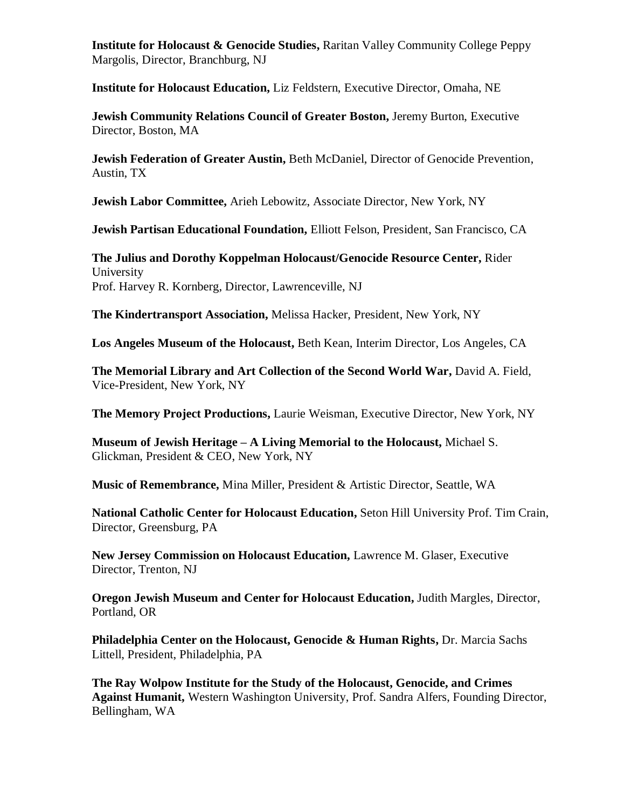**Institute for Holocaust & Genocide Studies,** Raritan Valley Community College Peppy Margolis, Director, Branchburg, NJ

**Institute for Holocaust Education,** Liz Feldstern, Executive Director, Omaha, NE

**Jewish Community Relations Council of Greater Boston,** Jeremy Burton, Executive Director, Boston, MA

**Jewish Federation of Greater Austin,** Beth McDaniel, Director of Genocide Prevention, Austin, TX

**Jewish Labor Committee,** Arieh Lebowitz, Associate Director, New York, NY

**Jewish Partisan Educational Foundation,** Elliott Felson, President, San Francisco, CA

**The Julius and Dorothy Koppelman Holocaust/Genocide Resource Center,** Rider University Prof. Harvey R. Kornberg, Director, Lawrenceville, NJ

**The Kindertransport Association,** Melissa Hacker, President, New York, NY

**Los Angeles Museum of the Holocaust,** Beth Kean, Interim Director, Los Angeles, CA

**The Memorial Library and Art Collection of the Second World War,** David A. Field, Vice-President, New York, NY

**The Memory Project Productions,** Laurie Weisman, Executive Director, New York, NY

**Museum of Jewish Heritage – A Living Memorial to the Holocaust,** Michael S. Glickman, President & CEO, New York, NY

**Music of Remembrance,** Mina Miller, President & Artistic Director, Seattle, WA

**National Catholic Center for Holocaust Education,** Seton Hill University Prof. Tim Crain, Director, Greensburg, PA

**New Jersey Commission on Holocaust Education,** Lawrence M. Glaser, Executive Director, Trenton, NJ

**Oregon Jewish Museum and Center for Holocaust Education,** Judith Margles, Director, Portland, OR

**Philadelphia Center on the Holocaust, Genocide & Human Rights, Dr. Marcia Sachs** Littell, President, Philadelphia, PA

**The Ray Wolpow Institute for the Study of the Holocaust, Genocide, and Crimes Against Humanit,** Western Washington University, Prof. Sandra Alfers, Founding Director, Bellingham, WA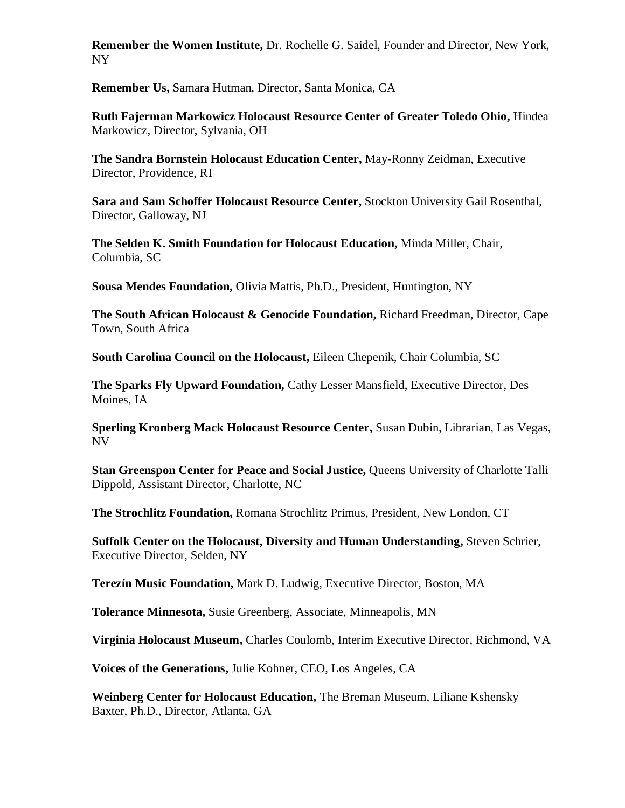**Remember the Women Institute,** Dr. Rochelle G. Saidel, Founder and Director, New York, NY

**Remember Us,** Samara Hutman, Director, Santa Monica, CA

**Ruth Fajerman Markowicz Holocaust Resource Center of Greater Toledo Ohio,** Hindea Markowicz, Director, Sylvania, OH

**The Sandra Bornstein Holocaust Education Center,** May-Ronny Zeidman, Executive Director, Providence, RI

**Sara and Sam Schoffer Holocaust Resource Center,** Stockton University Gail Rosenthal, Director, Galloway, NJ

**The Selden K. Smith Foundation for Holocaust Education,** Minda Miller, Chair, Columbia, SC

**Sousa Mendes Foundation,** Olivia Mattis, Ph.D., President, Huntington, NY

**The South African Holocaust & Genocide Foundation,** Richard Freedman, Director, Cape Town, South Africa

**South Carolina Council on the Holocaust,** Eileen Chepenik, Chair Columbia, SC

**The Sparks Fly Upward Foundation,** Cathy Lesser Mansfield, Executive Director, Des Moines, IA

**Sperling Kronberg Mack Holocaust Resource Center,** Susan Dubin, Librarian, Las Vegas, NV

**Stan Greenspon Center for Peace and Social Justice,** Queens University of Charlotte Talli Dippold, Assistant Director, Charlotte, NC

**The Strochlitz Foundation,** Romana Strochlitz Primus, President, New London, CT

**Suffolk Center on the Holocaust, Diversity and Human Understanding,** Steven Schrier, Executive Director, Selden, NY

**Terezín Music Foundation,** Mark D. Ludwig, Executive Director, Boston, MA

**Tolerance Minnesota,** Susie Greenberg, Associate, Minneapolis, MN

**Virginia Holocaust Museum,** Charles Coulomb, Interim Executive Director, Richmond, VA

**Voices of the Generations,** Julie Kohner, CEO, Los Angeles, CA

**Weinberg Center for Holocaust Education,** The Breman Museum, Liliane Kshensky Baxter, Ph.D., Director, Atlanta, GA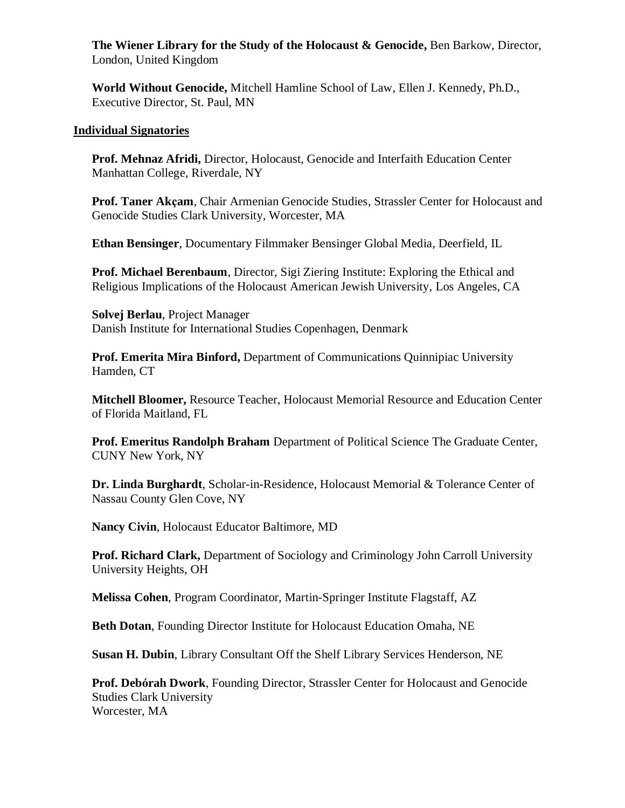**The Wiener Library for the Study of the Holocaust & Genocide,** Ben Barkow, Director, London, United Kingdom

**World Without Genocide,** Mitchell Hamline School of Law, Ellen J. Kennedy, Ph.D., Executive Director, St. Paul, MN

#### **Individual Signatories**

**Prof. Mehnaz Afridi,** Director, Holocaust, Genocide and Interfaith Education Center Manhattan College, Riverdale, NY

**Prof. Taner Akçam**, Chair Armenian Genocide Studies, Strassler Center for Holocaust and Genocide Studies Clark University, Worcester, MA

**Ethan Bensinger**, Documentary Filmmaker Bensinger Global Media, Deerfield, IL

**Prof. Michael Berenbaum**, Director, Sigi Ziering Institute: Exploring the Ethical and Religious Implications of the Holocaust American Jewish University, Los Angeles, CA

**Solvej Berlau**, Project Manager Danish Institute for International Studies Copenhagen, Denmark

**Prof. Emerita Mira Binford,** Department of Communications Quinnipiac University Hamden, CT

**Mitchell Bloomer,** Resource Teacher, Holocaust Memorial Resource and Education Center of Florida Maitland, FL

**Prof. Emeritus Randolph Braham** Department of Political Science The Graduate Center, CUNY New York, NY

**Dr. Linda Burghardt**, Scholar-in-Residence, Holocaust Memorial & Tolerance Center of Nassau County Glen Cove, NY

**Nancy Civin**, Holocaust Educator Baltimore, MD

**Prof. Richard Clark,** Department of Sociology and Criminology John Carroll University University Heights, OH

**Melissa Cohen**, Program Coordinator, Martin-Springer Institute Flagstaff, AZ

**Beth Dotan**, Founding Director Institute for Holocaust Education Omaha, NE

**Susan H. Dubin**, Library Consultant Off the Shelf Library Services Henderson, NE

**Prof. Debórah Dwork**, Founding Director, Strassler Center for Holocaust and Genocide Studies Clark University Worcester, MA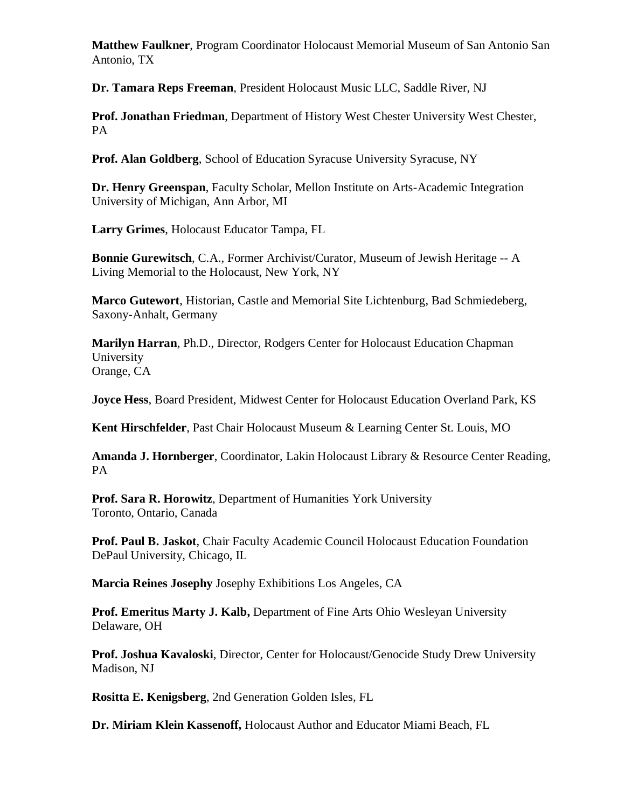**Matthew Faulkner**, Program Coordinator Holocaust Memorial Museum of San Antonio San Antonio, TX

**Dr. Tamara Reps Freeman**, President Holocaust Music LLC, Saddle River, NJ

**Prof. Jonathan Friedman**, Department of History West Chester University West Chester, PA

**Prof. Alan Goldberg**, School of Education Syracuse University Syracuse, NY

**Dr. Henry Greenspan**, Faculty Scholar, Mellon Institute on Arts-Academic Integration University of Michigan, Ann Arbor, MI

**Larry Grimes**, Holocaust Educator Tampa, FL

**Bonnie Gurewitsch**, C.A., Former Archivist/Curator, Museum of Jewish Heritage -- A Living Memorial to the Holocaust, New York, NY

**Marco Gutewort**, Historian, Castle and Memorial Site Lichtenburg, Bad Schmiedeberg, Saxony-Anhalt, Germany

**Marilyn Harran**, Ph.D., Director, Rodgers Center for Holocaust Education Chapman University Orange, CA

**Joyce Hess**, Board President, Midwest Center for Holocaust Education Overland Park, KS

**Kent Hirschfelder**, Past Chair Holocaust Museum & Learning Center St. Louis, MO

**Amanda J. Hornberger**, Coordinator, Lakin Holocaust Library & Resource Center Reading, PA

**Prof. Sara R. Horowitz**, Department of Humanities York University Toronto, Ontario, Canada

**Prof. Paul B. Jaskot**, Chair Faculty Academic Council Holocaust Education Foundation DePaul University, Chicago, IL

**Marcia Reines Josephy** Josephy Exhibitions Los Angeles, CA

**Prof. Emeritus Marty J. Kalb,** Department of Fine Arts Ohio Wesleyan University Delaware, OH

**Prof. Joshua Kavaloski**, Director, Center for Holocaust/Genocide Study Drew University Madison, NJ

**Rositta E. Kenigsberg**, 2nd Generation Golden Isles, FL

**Dr. Miriam Klein Kassenoff,** Holocaust Author and Educator Miami Beach, FL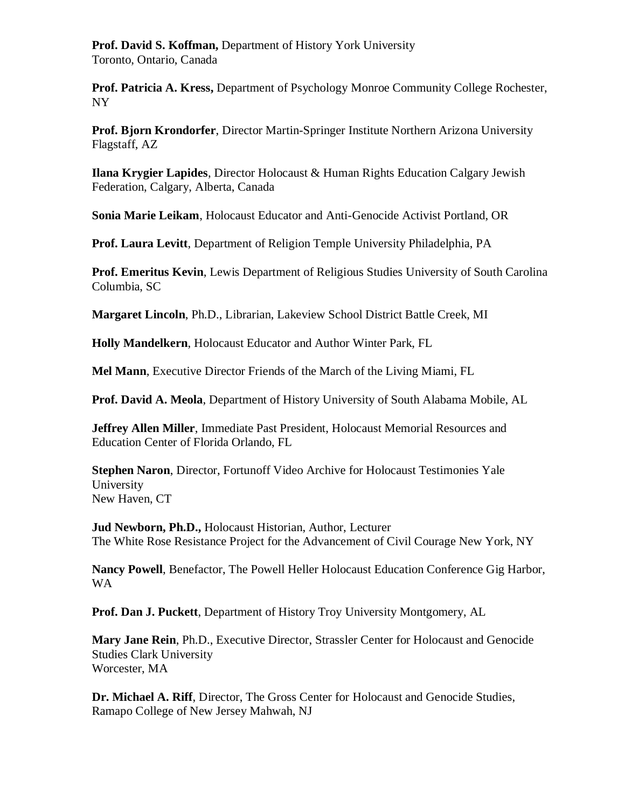**Prof. David S. Koffman,** Department of History York University Toronto, Ontario, Canada

**Prof. Patricia A. Kress,** Department of Psychology Monroe Community College Rochester, NY

**Prof. Bjorn Krondorfer**, Director Martin-Springer Institute Northern Arizona University Flagstaff, AZ

**Ilana Krygier Lapides**, Director Holocaust & Human Rights Education Calgary Jewish Federation, Calgary, Alberta, Canada

**Sonia Marie Leikam**, Holocaust Educator and Anti-Genocide Activist Portland, OR

**Prof. Laura Levitt**, Department of Religion Temple University Philadelphia, PA

**Prof. Emeritus Kevin**, Lewis Department of Religious Studies University of South Carolina Columbia, SC

**Margaret Lincoln**, Ph.D., Librarian, Lakeview School District Battle Creek, MI

**Holly Mandelkern**, Holocaust Educator and Author Winter Park, FL

**Mel Mann**, Executive Director Friends of the March of the Living Miami, FL

**Prof. David A. Meola**, Department of History University of South Alabama Mobile, AL

**Jeffrey Allen Miller**, Immediate Past President, Holocaust Memorial Resources and Education Center of Florida Orlando, FL

**Stephen Naron**, Director, Fortunoff Video Archive for Holocaust Testimonies Yale University New Haven, CT

**Jud Newborn, Ph.D.,** Holocaust Historian, Author, Lecturer The White Rose Resistance Project for the Advancement of Civil Courage New York, NY

**Nancy Powell**, Benefactor, The Powell Heller Holocaust Education Conference Gig Harbor, WA

**Prof. Dan J. Puckett**, Department of History Troy University Montgomery, AL

**Mary Jane Rein**, Ph.D., Executive Director, Strassler Center for Holocaust and Genocide Studies Clark University Worcester, MA

**Dr. Michael A. Riff**, Director, The Gross Center for Holocaust and Genocide Studies, Ramapo College of New Jersey Mahwah, NJ